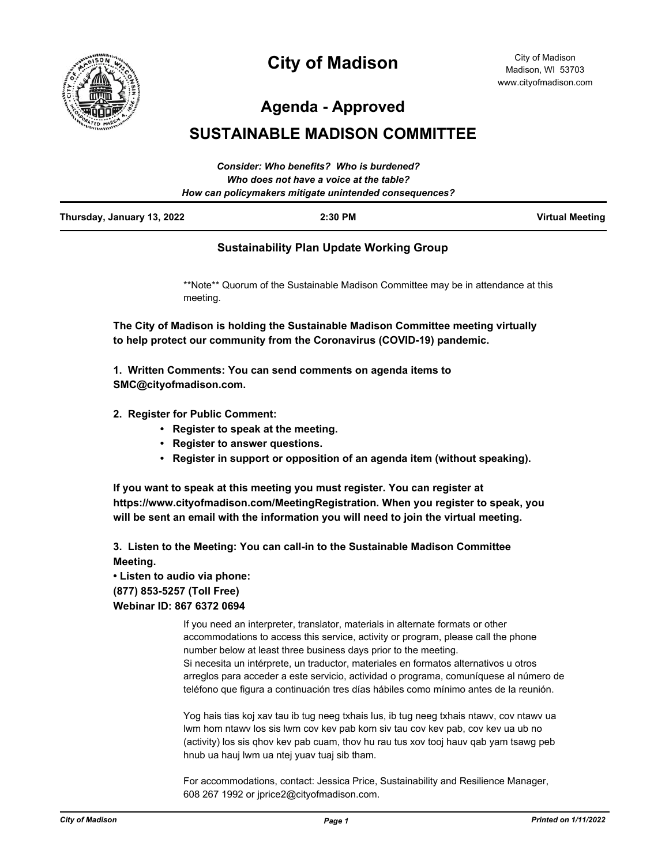

# **City of Madison**

City of Madison Madison, WI 53703 www.cityofmadison.com

**Agenda - Approved**

# **SUSTAINABLE MADISON COMMITTEE**

|                            | Consider: Who benefits? Who is burdened?               |                        |
|----------------------------|--------------------------------------------------------|------------------------|
|                            | Who does not have a voice at the table?                |                        |
|                            | How can policymakers mitigate unintended consequences? |                        |
| Thursday, January 13, 2022 | $2:30$ PM                                              | <b>Virtual Meeting</b> |

### **Sustainability Plan Update Working Group**

\*\*Note\*\* Quorum of the Sustainable Madison Committee may be in attendance at this meeting.

**The City of Madison is holding the Sustainable Madison Committee meeting virtually to help protect our community from the Coronavirus (COVID-19) pandemic.**

**1. Written Comments: You can send comments on agenda items to SMC@cityofmadison.com.**

- **2. Register for Public Comment:** 
	- **Register to speak at the meeting.**
	- **Register to answer questions.**
	- **Register in support or opposition of an agenda item (without speaking).**

**If you want to speak at this meeting you must register. You can register at https://www.cityofmadison.com/MeetingRegistration. When you register to speak, you will be sent an email with the information you will need to join the virtual meeting.**

**3. Listen to the Meeting: You can call-in to the Sustainable Madison Committee Meeting.** 

## **• Listen to audio via phone: (877) 853-5257 (Toll Free) Webinar ID: 867 6372 0694**

If you need an interpreter, translator, materials in alternate formats or other accommodations to access this service, activity or program, please call the phone number below at least three business days prior to the meeting. Si necesita un intérprete, un traductor, materiales en formatos alternativos u otros arreglos para acceder a este servicio, actividad o programa, comuníquese al número de teléfono que figura a continuación tres días hábiles como mínimo antes de la reunión.

Yog hais tias koj xav tau ib tug neeg txhais lus, ib tug neeg txhais ntawv, cov ntawv ua lwm hom ntawv los sis lwm cov kev pab kom siv tau cov kev pab, cov kev ua ub no (activity) los sis qhov kev pab cuam, thov hu rau tus xov tooj hauv qab yam tsawg peb hnub ua hauj lwm ua ntej yuav tuaj sib tham.

For accommodations, contact: Jessica Price, Sustainability and Resilience Manager, 608 267 1992 or jprice2@cityofmadison.com.